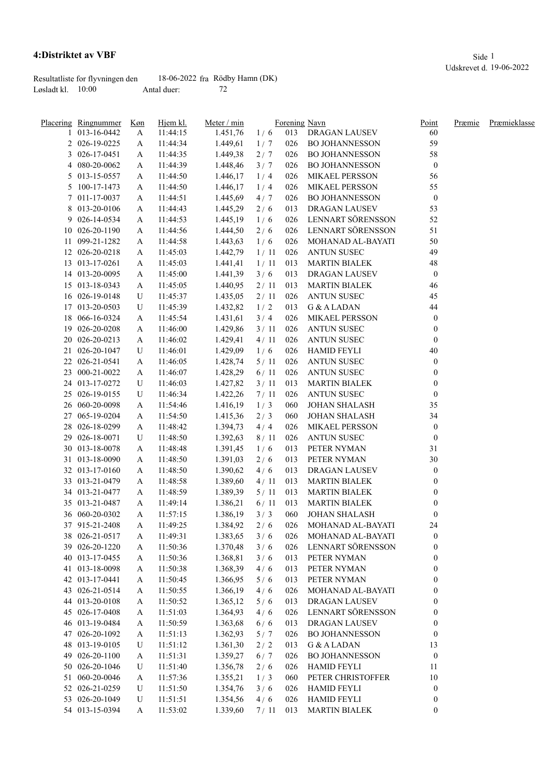## **4:Distriktet av VBF** Side 1

Resultatliste for flyvningen den 18-06-2022 fra Rödby Hamn (DK)<br>Løsladt kl. 10:00 Antal duer: 72 Løsland klub antal duer:

|    | Placering Ringnummer             | Køn    | Hjem kl. | Meter / min | Forening Navn |     |                                       | Point                                | Præmie | Præmieklasse |
|----|----------------------------------|--------|----------|-------------|---------------|-----|---------------------------------------|--------------------------------------|--------|--------------|
|    | 013-16-0442                      | A      | 11:44:15 | 1.451,76    | 1/6           | 013 | DRAGAN LAUSEV                         | 60                                   |        |              |
|    | 2 026-19-0225                    | A      | 11:44:34 | 1.449,61    | 1/7           | 026 | <b>BO JOHANNESSON</b>                 | 59                                   |        |              |
| 3  | 026-17-0451                      | A      | 11:44:35 | 1.449,38    | 2/7           | 026 | <b>BO JOHANNESSON</b>                 | 58                                   |        |              |
|    | 4 080-20-0062                    | A      | 11:44:39 | 1.448,46    | 3/7           | 026 | <b>BO JOHANNESSON</b>                 | $\boldsymbol{0}$                     |        |              |
|    | 5 013-15-0557                    | A      | 11:44:50 | 1.446,17    | 1/4           | 026 | MIKAEL PERSSON                        | 56                                   |        |              |
|    | 5 100-17-1473                    | A      | 11:44:50 | 1.446,17    | 1/4           | 026 | MIKAEL PERSSON                        | 55                                   |        |              |
|    | 7 011-17-0037                    | A      | 11:44:51 | 1.445,69    | 4/7           | 026 | <b>BO JOHANNESSON</b>                 | $\boldsymbol{0}$                     |        |              |
|    | 8 013-20-0106                    | A      | 11:44:43 | 1.445,29    | 2/6           | 013 | DRAGAN LAUSEV                         | 53                                   |        |              |
| 9. | 026-14-0534                      | A      | 11:44:53 | 1.445,19    | 1/6           | 026 | LENNART SÖRENSSON                     | 52                                   |        |              |
|    | 10 026-20-1190                   | A      | 11:44:56 | 1.444,50    | 2/6           | 026 | LENNART SÖRENSSON                     | 51                                   |        |              |
|    | 11 099-21-1282                   | A      | 11:44:58 | 1.443,63    | 1/6           | 026 | MOHANAD AL-BAYATI                     | $50\,$                               |        |              |
|    | 12 026-20-0218                   | A      | 11:45:03 | 1.442,79    | 1/11          | 026 | <b>ANTUN SUSEC</b>                    | 49                                   |        |              |
|    | 13 013-17-0261                   | A      | 11:45:03 | 1.441,41    | 1/11          | 013 | <b>MARTIN BIALEK</b>                  | 48                                   |        |              |
|    | 14 013-20-0095                   | A      | 11:45:00 | 1.441,39    | 3/6           | 013 | DRAGAN LAUSEV                         | $\boldsymbol{0}$                     |        |              |
|    | 15 013-18-0343                   | A      | 11:45:05 | 1.440,95    | 2/11          | 013 | <b>MARTIN BIALEK</b>                  | 46                                   |        |              |
|    | 16 026-19-0148                   | U      | 11:45:37 | 1.435,05    | 2/11          | 026 | <b>ANTUN SUSEC</b>                    | 45                                   |        |              |
|    | 17 013-20-0503                   | U      | 11:45:39 | 1.432,82    | 1/2           | 013 | G & A LADAN                           | 44                                   |        |              |
| 18 | 066-16-0324                      | A      | 11:45:54 | 1.431,61    | 3/4           | 026 | MIKAEL PERSSON                        | $\bf{0}$                             |        |              |
| 19 | 026-20-0208                      | A      | 11:46:00 | 1.429,86    | 3/11          | 026 | <b>ANTUN SUSEC</b>                    | $\boldsymbol{0}$                     |        |              |
| 20 | 026-20-0213                      | A      | 11:46:02 | 1.429,41    | 4/11          | 026 | <b>ANTUN SUSEC</b>                    | $\boldsymbol{0}$                     |        |              |
|    | 21 026-20-1047                   | U      | 11:46:01 | 1.429,09    | 1/6           | 026 | <b>HAMID FEYLI</b>                    | 40                                   |        |              |
|    | 22 026-21-0541                   | A      | 11:46:05 | 1.428,74    | 5/11          | 026 | <b>ANTUN SUSEC</b>                    | $\bf{0}$                             |        |              |
|    | 23 000-21-0022                   | A      | 11:46:07 | 1.428,29    | 6/11          | 026 | <b>ANTUN SUSEC</b>                    | $\boldsymbol{0}$                     |        |              |
|    | 24 013-17-0272                   | U      | 11:46:03 | 1.427,82    | 3/11          | 013 | <b>MARTIN BIALEK</b>                  | $\boldsymbol{0}$                     |        |              |
|    | 25 026-19-0155                   | U      | 11:46:34 | 1.422,26    | 7/11          | 026 | <b>ANTUN SUSEC</b>                    | $\boldsymbol{0}$                     |        |              |
|    | 26 060-20-0098                   | A      | 11:54:46 | 1.416,19    | 1/3           | 060 | <b>JOHAN SHALASH</b>                  | 35                                   |        |              |
|    | 27 065-19-0204                   | A      | 11:54:50 | 1.415,36    | 2/3           | 060 | <b>JOHAN SHALASH</b>                  | 34                                   |        |              |
|    | 28 026-18-0299                   |        | 11:48:42 | 1.394,73    | 4/4           | 026 | MIKAEL PERSSON                        |                                      |        |              |
| 29 | 026-18-0071                      | A<br>U | 11:48:50 | 1.392,63    | 8/11          | 026 | <b>ANTUN SUSEC</b>                    | $\boldsymbol{0}$<br>$\boldsymbol{0}$ |        |              |
|    | 30 013-18-0078                   |        |          |             |               |     |                                       |                                      |        |              |
|    |                                  | A      | 11:48:48 | 1.391,45    | 1/6           | 013 | PETER NYMAN                           | 31                                   |        |              |
|    | 31 013-18-0090                   | A      | 11:48:50 | 1.391,03    | 2/6           | 013 | PETER NYMAN                           | 30                                   |        |              |
|    | 32 013-17-0160                   | A      | 11:48:50 | 1.390,62    | 4/6           | 013 | DRAGAN LAUSEV<br><b>MARTIN BIALEK</b> | $\boldsymbol{0}$                     |        |              |
|    | 33 013-21-0479<br>34 013-21-0477 | A      | 11:48:58 | 1.389,60    | 4/11          | 013 | <b>MARTIN BIALEK</b>                  | 0                                    |        |              |
|    |                                  | A      | 11:48:59 | 1.389,39    | 5/11          | 013 |                                       | 0                                    |        |              |
|    | 35 013-21-0487                   | A      | 11:49:14 | 1.386,21    | 6/11          | 013 | <b>MARTIN BIALEK</b>                  | $\boldsymbol{0}$                     |        |              |
|    | 36 060-20-0302                   | A      | 11:57:15 | 1.386,19    | 3/3           | 060 | <b>JOHAN SHALASH</b>                  | $\boldsymbol{0}$                     |        |              |
|    | 37 915-21-2408                   | A      | 11:49:25 | 1.384,92    | 2/6           | 026 | MOHANAD AL-BAYATI                     | 24                                   |        |              |
|    | 38 026-21-0517                   | A      | 11:49:31 | 1.383,65    | 3/6           | 026 | MOHANAD AL-BAYATI                     | $\boldsymbol{0}$                     |        |              |
|    | 39 026-20-1220                   | A      | 11:50:36 | 1.370,48    | 3/6           | 026 | LENNART SÖRENSSON                     | 0                                    |        |              |
|    | 40 013-17-0455                   | A      | 11:50:36 | 1.368,81    | 3/6           | 013 | PETER NYMAN                           | $\boldsymbol{0}$                     |        |              |
|    | 41 013-18-0098                   | A      | 11:50:38 | 1.368,39    | 4/6           | 013 | PETER NYMAN                           | $\boldsymbol{0}$                     |        |              |
|    | 42 013-17-0441                   | A      | 11:50:45 | 1.366,95    | 5/6           | 013 | PETER NYMAN                           | 0                                    |        |              |
|    | 43 026-21-0514                   | A      | 11:50:55 | 1.366,19    | 4/6           | 026 | MOHANAD AL-BAYATI                     | 0                                    |        |              |
|    | 44 013-20-0108                   | A      | 11:50:52 | 1.365,12    | 5/6           | 013 | DRAGAN LAUSEV                         | 0                                    |        |              |
|    | 45 026-17-0408                   | A      | 11:51:03 | 1.364,93    | 4/6           | 026 | LENNART SÖRENSSON                     | 0                                    |        |              |
|    | 46 013-19-0484                   | A      | 11:50:59 | 1.363,68    | 6/6           | 013 | DRAGAN LAUSEV                         | $\boldsymbol{0}$                     |        |              |
|    | 47 026-20-1092                   | A      | 11:51:13 | 1.362,93    | 5/7           | 026 | <b>BO JOHANNESSON</b>                 | $\boldsymbol{0}$                     |        |              |
|    | 48 013-19-0105                   | U      | 11:51:12 | 1.361,30    | 2/2           | 013 | G & A LADAN                           | 13                                   |        |              |
| 49 | 026-20-1100                      | A      | 11:51:31 | 1.359,27    | 6/7           | 026 | <b>BO JOHANNESSON</b>                 | $\boldsymbol{0}$                     |        |              |
|    | 50 026-20-1046                   | U      | 11:51:40 | 1.356,78    | 2/6           | 026 | <b>HAMID FEYLI</b>                    | 11                                   |        |              |
|    | 51 060-20-0046                   | A      | 11:57:36 | 1.355,21    | 1/3           | 060 | PETER CHRISTOFFER                     | $10\,$                               |        |              |
|    | 52 026-21-0259                   | U      | 11:51:50 | 1.354,76    | 3/6           | 026 | <b>HAMID FEYLI</b>                    | $\boldsymbol{0}$                     |        |              |
|    | 53 026-20-1049                   | U      | 11:51:51 | 1.354,56    | 4/6           | 026 | <b>HAMID FEYLI</b>                    | $\boldsymbol{0}$                     |        |              |
|    | 54 013-15-0394                   | A      | 11:53:02 | 1.339,60    | 7/11          | 013 | <b>MARTIN BIALEK</b>                  | $\boldsymbol{0}$                     |        |              |